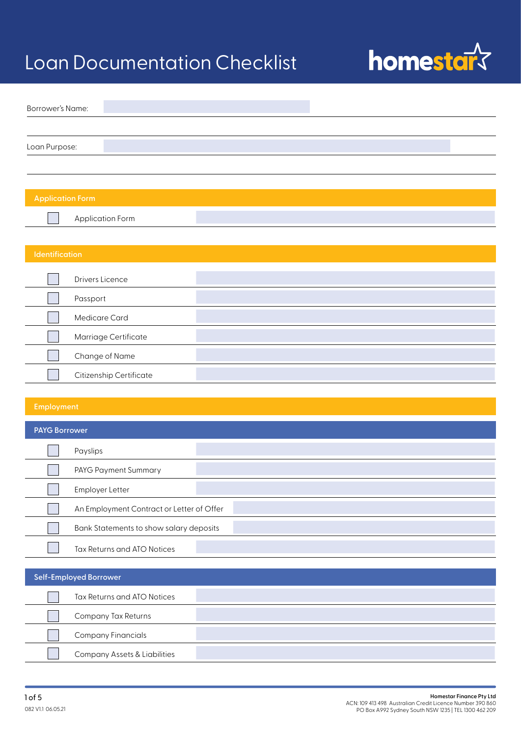

| Borrower's Name:        |                      |  |  |
|-------------------------|----------------------|--|--|
|                         |                      |  |  |
| Loan Purpose:           |                      |  |  |
|                         |                      |  |  |
|                         |                      |  |  |
| <b>Application Form</b> |                      |  |  |
|                         | Application Form     |  |  |
|                         |                      |  |  |
| Identification          |                      |  |  |
|                         | Drivers Licence      |  |  |
|                         | Passport             |  |  |
|                         | Medicare Card        |  |  |
|                         | Marriage Certificate |  |  |

| Change of Name                 |  |
|--------------------------------|--|
| <b>Citizenship Certificate</b> |  |

| <b>PAYG Borrower</b> |                                           |  |
|----------------------|-------------------------------------------|--|
|                      | Payslips                                  |  |
|                      | PAYG Payment Summary                      |  |
|                      | Employer Letter                           |  |
|                      | An Employment Contract or Letter of Offer |  |
|                      | Bank Statements to show salary deposits   |  |
|                      | Tax Returns and ATO Notices               |  |

| Self-Employed Borrower                  |  |  |
|-----------------------------------------|--|--|
| Tax Returns and ATO Notices             |  |  |
| Company Tax Returns                     |  |  |
| <b>Company Financials</b>               |  |  |
| <b>Company Assets &amp; Liabilities</b> |  |  |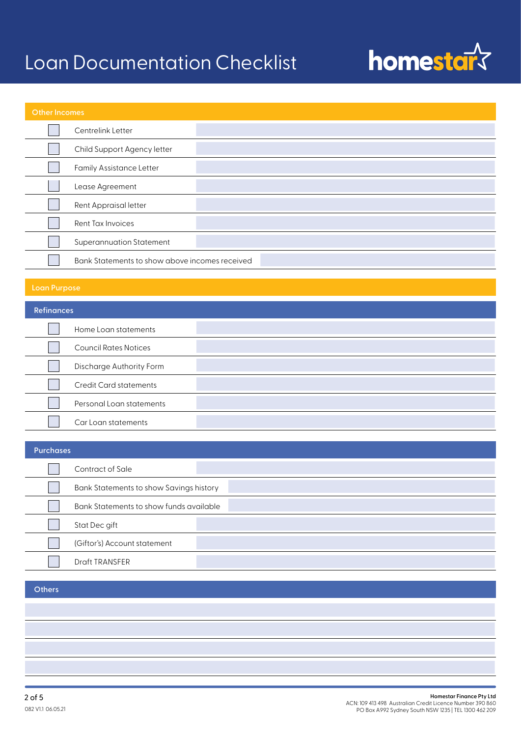# homestar?

| Other Incomes |                                                |  |
|---------------|------------------------------------------------|--|
|               | Centrelink Letter                              |  |
|               | Child Support Agency letter                    |  |
|               | <b>Family Assistance Letter</b>                |  |
|               | Lease Agreement                                |  |
|               | Rent Appraisal letter                          |  |
|               | Rent Tax Invoices                              |  |
|               | <b>Superannuation Statement</b>                |  |
|               | Bank Statements to show above incomes received |  |

| <b>Refinances</b>             |  |  |
|-------------------------------|--|--|
| Home Loan statements          |  |  |
| <b>Council Rates Notices</b>  |  |  |
| Discharge Authority Form      |  |  |
| <b>Credit Card statements</b> |  |  |
| Personal Loan statements      |  |  |
| Car Loan statements           |  |  |

| <b>Purchases</b> |                                         |  |
|------------------|-----------------------------------------|--|
|                  | Contract of Sale                        |  |
|                  | Bank Statements to show Savings history |  |
|                  | Bank Statements to show funds available |  |
|                  | Stat Dec gift                           |  |
|                  | (Giftor's) Account statement            |  |
|                  | <b>Draft TRANSFER</b>                   |  |

### **Others**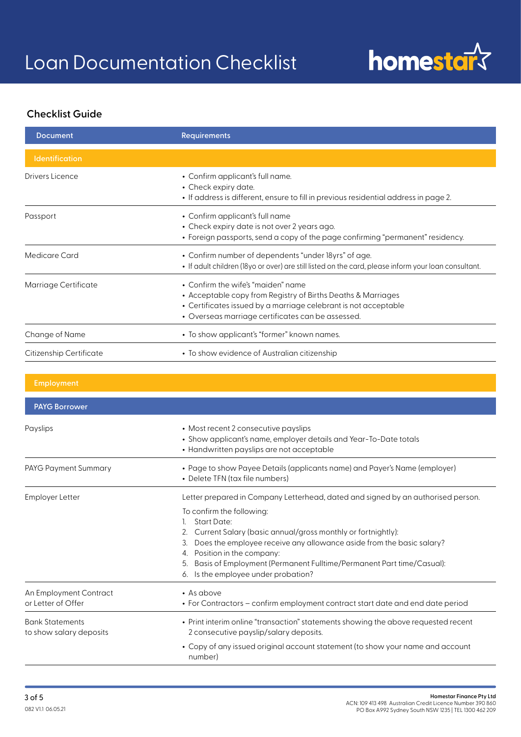

### **Checklist Guide**

| <b>Document</b>         | <b>Requirements</b>                                                                                                                                                                                                        |
|-------------------------|----------------------------------------------------------------------------------------------------------------------------------------------------------------------------------------------------------------------------|
| <b>Identification</b>   |                                                                                                                                                                                                                            |
| Drivers Licence         | • Confirm applicant's full name.<br>• Check expiry date.<br>• If address is different, ensure to fill in previous residential address in page 2.                                                                           |
| Passport                | • Confirm applicant's full name<br>• Check expiry date is not over 2 years ago.<br>• Foreign passports, send a copy of the page confirming "permanent" residency.                                                          |
| Medicare Card           | • Confirm number of dependents "under 18yrs" of age.<br>• If adult children (18yo or over) are still listed on the card, please inform your loan consultant.                                                               |
| Marriage Certificate    | • Confirm the wife's "maiden" name<br>• Acceptable copy from Registry of Births Deaths & Marriages<br>• Certificates issued by a marriage celebrant is not acceptable<br>• Overseas marriage certificates can be assessed. |
| Change of Name          | • To show applicant's "former" known names.                                                                                                                                                                                |
| Citizenship Certificate | • To show evidence of Australian citizenship                                                                                                                                                                               |
|                         |                                                                                                                                                                                                                            |

| <b>Employment</b>                                 |                                                                                                                                                                                                                                                                                                                                                                                                                                               |
|---------------------------------------------------|-----------------------------------------------------------------------------------------------------------------------------------------------------------------------------------------------------------------------------------------------------------------------------------------------------------------------------------------------------------------------------------------------------------------------------------------------|
| <b>PAYG Borrower</b>                              |                                                                                                                                                                                                                                                                                                                                                                                                                                               |
| Payslips                                          | • Most recent 2 consecutive payslips<br>• Show applicant's name, employer details and Year-To-Date totals<br>• Handwritten payslips are not acceptable                                                                                                                                                                                                                                                                                        |
| PAYG Payment Summary                              | • Page to show Payee Details (applicants name) and Payer's Name (employer)<br>• Delete TFN (tax file numbers)                                                                                                                                                                                                                                                                                                                                 |
| Employer Letter                                   | Letter prepared in Company Letterhead, dated and signed by an authorised person.<br>To confirm the following:<br><b>Start Date:</b><br>Current Salary (basic annual/gross monthly or fortnightly):<br>2.<br>Does the employee receive any allowance aside from the basic salary?<br>3.<br>4. Position in the company:<br>Basis of Employment (Permanent Fulltime/Permanent Part time/Casual):<br>5.<br>Is the employee under probation?<br>6. |
| An Employment Contract<br>or Letter of Offer      | $\bullet$ As above<br>• For Contractors - confirm employment contract start date and end date period                                                                                                                                                                                                                                                                                                                                          |
| <b>Bank Statements</b><br>to show salary deposits | • Print interim online "transaction" statements showing the above requested recent<br>2 consecutive payslip/salary deposits.<br>• Copy of any issued original account statement (to show your name and account<br>number)                                                                                                                                                                                                                     |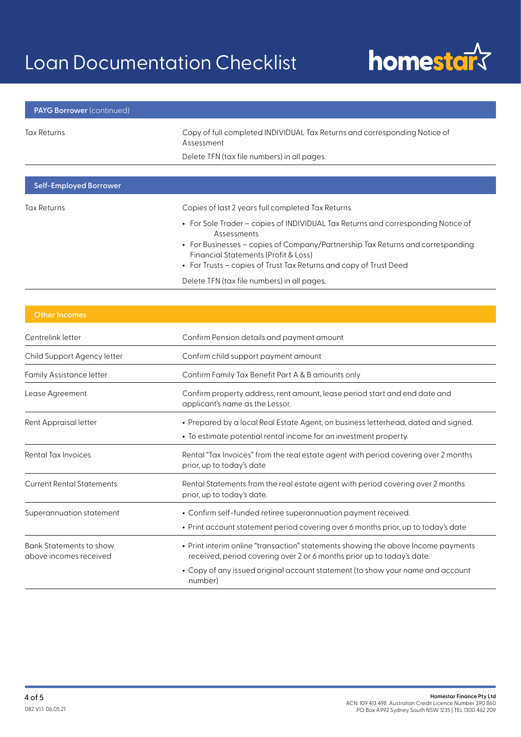# homestar?

| <b>PAYG Borrower (continued)</b> |                                                                                                 |
|----------------------------------|-------------------------------------------------------------------------------------------------|
| Tax Returns                      | Copy of full completed INDIVIDUAL Tax Returns and corresponding Notice of<br>Assessment         |
|                                  | Delete TFN (tax file numbers) in all pages.                                                     |
|                                  |                                                                                                 |
| <b>Self-Employed Borrower</b>    |                                                                                                 |
| Tax Returns                      | Copies of last 2 years full completed Tax Returns                                               |
|                                  | • For Sole Trader – copies of INDIVIDUAL Tax Returns and corresponding Notice of<br>Assessments |
|                                  | • For Businesses – copies of Company/Partnership Tax Returns and corresponding                  |

- For Businesses copies of Company/Partnership Tax Returns and corresponding Financial Statements (Profit & Loss)
- For Trusts copies of Trust Tax Returns and copy of Trust Deed

Delete TFN (tax file numbers) in all pages.

| Centrelink letter                                        | Confirm Pension details and payment amount                                                                                                                  |
|----------------------------------------------------------|-------------------------------------------------------------------------------------------------------------------------------------------------------------|
| Child Support Agency letter                              | Confirm child support payment amount                                                                                                                        |
| <b>Family Assistance letter</b>                          | Confirm Family Tax Benefit Part A & B amounts only                                                                                                          |
| Lease Agreement                                          | Confirm property address, rent amount, lease period start and end date and<br>applicant's name as the Lessor.                                               |
| Rent Appraisal letter                                    | • Prepared by a local Real Estate Agent, on business letterhead, dated and signed.<br>• To estimate potential rental income for an investment property.     |
| Rental Tax Invoices                                      | Rental "Tax Invoices" from the real estate agent with period covering over 2 months<br>prior, up to today's date                                            |
| <b>Current Rental Statements</b>                         | Rental Statements from the real estate agent with period covering over 2 months<br>prior, up to today's date.                                               |
| Superannuation statement                                 | • Confirm self-funded retiree superannuation payment received.<br>• Print account statement period covering over 6 months prior, up to today's date         |
| <b>Bank Statements to show</b><br>above incomes received | • Print interim online "transaction" statements showing the above Income payments<br>received, period covering over 2 or 6 months prior up to today's date. |
|                                                          | • Copy of any issued original account statement (to show your name and account<br>number)                                                                   |